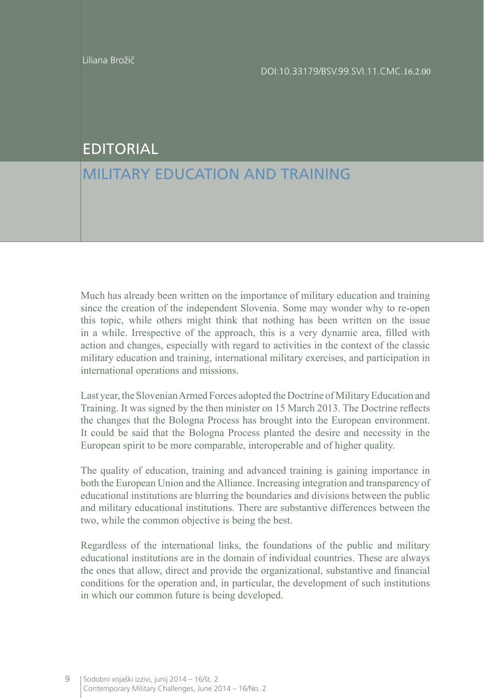## EDITORIAL

## MILITARY EDUCATION AND TRAINING

Much has already been written on the importance of military education and training since the creation of the independent Slovenia. Some may wonder why to re-open this topic, while others might think that nothing has been written on the issue in a while. Irrespective of the approach, this is a very dynamic area, filled with action and changes, especially with regard to activities in the context of the classic military education and training, international military exercises, and participation in international operations and missions.

Last year, the Slovenian Armed Forces adopted the Doctrine of Military Education and Training. It was signed by the then minister on 15 March 2013. The Doctrine reflects the changes that the Bologna Process has brought into the European environment. It could be said that the Bologna Process planted the desire and necessity in the European spirit to be more comparable, interoperable and of higher quality.

The quality of education, training and advanced training is gaining importance in both the European Union and the Alliance. Increasing integration and transparency of educational institutions are blurring the boundaries and divisions between the public and military educational institutions. There are substantive differences between the two, while the common objective is being the best.

Regardless of the international links, the foundations of the public and military educational institutions are in the domain of individual countries. These are always the ones that allow, direct and provide the organizational, substantive and financial conditions for the operation and, in particular, the development of such institutions in which our common future is being developed.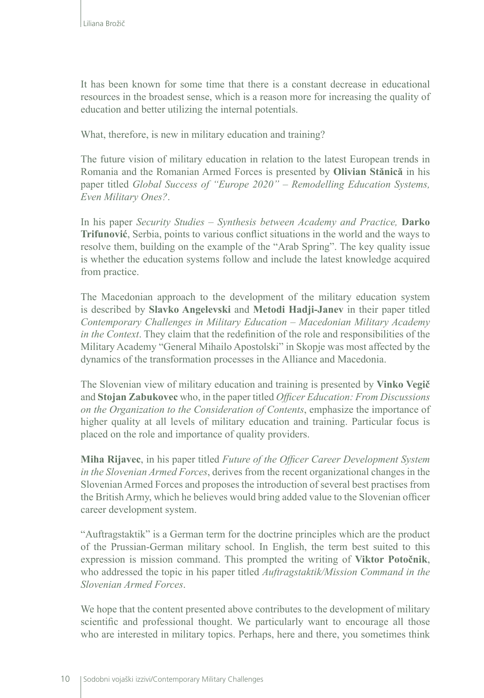It has been known for some time that there is a constant decrease in educational resources in the broadest sense, which is a reason more for increasing the quality of education and better utilizing the internal potentials.

What, therefore, is new in military education and training?

The future vision of military education in relation to the latest European trends in Romania and the Romanian Armed Forces is presented by **Olivian Stănică** in his paper titled *Global Success of "Europe 2020" – Remodelling Education Systems, Even Military Ones?*.

In his paper *Security Studies – Synthesis between Academy and Practice,* **Darko Trifunović**, Serbia, points to various conflict situations in the world and the ways to resolve them, building on the example of the "Arab Spring". The key quality issue is whether the education systems follow and include the latest knowledge acquired from practice.

The Macedonian approach to the development of the military education system is described by **Slavko Angelevski** and **Metodi Hadji-Janev** in their paper titled *Contemporary Challenges in Military Education – Macedonian Military Academy in the Context*. They claim that the redefinition of the role and responsibilities of the Military Academy "General Mihailo Apostolski" in Skopje was most affected by the dynamics of the transformation processes in the Alliance and Macedonia.

The Slovenian view of military education and training is presented by **Vinko Vegič** and **Stojan Zabukovec** who, in the paper titled *Officer Education: From Discussions on the Organization to the Consideration of Contents*, emphasize the importance of higher quality at all levels of military education and training. Particular focus is placed on the role and importance of quality providers.

**Miha Rijavec**, in his paper titled *Future of the Officer Career Development System in the Slovenian Armed Forces*, derives from the recent organizational changes in the Slovenian Armed Forces and proposes the introduction of several best practises from the British Army, which he believes would bring added value to the Slovenian officer career development system.

"Auftragstaktik" is a German term for the doctrine principles which are the product of the Prussian-German military school. In English, the term best suited to this expression is mission command. This prompted the writing of **Viktor Potočnik**, who addressed the topic in his paper titled *Auftragstaktik/Mission Command in the Slovenian Armed Forces*.

We hope that the content presented above contributes to the development of military scientific and professional thought. We particularly want to encourage all those who are interested in military topics. Perhaps, here and there, you sometimes think